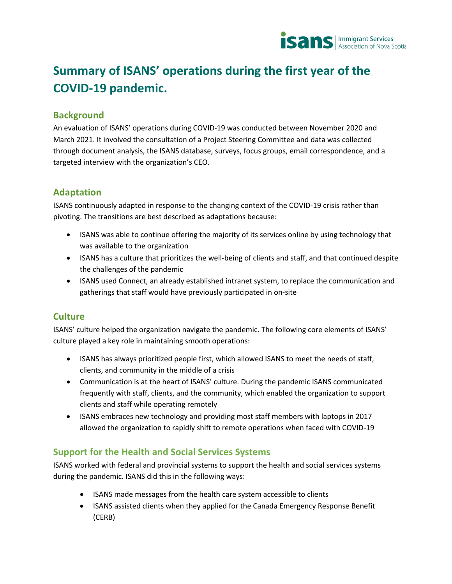

# **Summary of ISANS' operations during the first year of the COVID-19 pandemic.**

## **Background**

An evaluation of ISANS' operations during COVID-19 was conducted between November 2020 and March 2021. It involved the consultation of a Project Steering Committee and data was collected through document analysis, the ISANS database, surveys, focus groups, email correspondence, and a targeted interview with the organization's CEO.

#### **Adaptation**

ISANS continuously adapted in response to the changing context of the COVID-19 crisis rather than pivoting. The transitions are best described as adaptations because:

- ISANS was able to continue offering the majority of its services online by using technology that was available to the organization
- ISANS has a culture that prioritizes the well-being of clients and staff, and that continued despite the challenges of the pandemic
- ISANS used Connect, an already established intranet system, to replace the communication and gatherings that staff would have previously participated in on-site

## **Culture**

ISANS' culture helped the organization navigate the pandemic. The following core elements of ISANS' culture played a key role in maintaining smooth operations:

- ISANS has always prioritized people first, which allowed ISANS to meet the needs of staff, clients, and community in the middle of a crisis
- Communication is at the heart of ISANS' culture. During the pandemic ISANS communicated frequently with staff, clients, and the community, which enabled the organization to support clients and staff while operating remotely
- ISANS embraces new technology and providing most staff members with laptops in 2017 allowed the organization to rapidly shift to remote operations when faced with COVID-19

## **Support for the Health and Social Services Systems**

ISANS worked with federal and provincial systems to support the health and social services systems during the pandemic. ISANS did this in the following ways:

- ISANS made messages from the health care system accessible to clients
- ISANS assisted clients when they applied for the Canada Emergency Response Benefit (CERB)